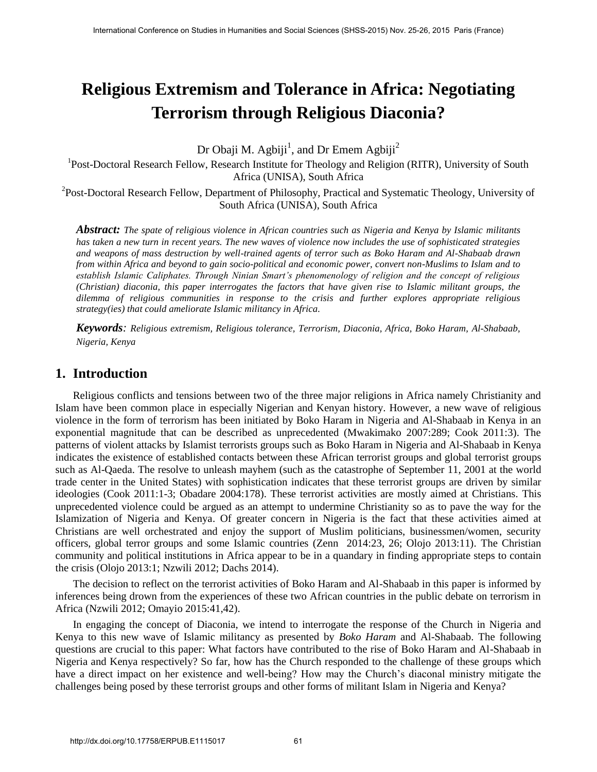# **Religious Extremism and Tolerance in Africa: Negotiating Terrorism through Religious Diaconia?**

Dr Obaji M. Agbiji<sup>1</sup>, and Dr Emem Agbiji<sup>2</sup>

<sup>1</sup>Post-Doctoral Research Fellow, Research Institute for Theology and Religion (RITR), University of South Africa (UNISA), South Africa

<sup>2</sup>Post-Doctoral Research Fellow, Department of Philosophy, Practical and Systematic Theology, University of South Africa (UNISA), South Africa

*Abstract: The spate of religious violence in African countries such as Nigeria and Kenya by Islamic militants has taken a new turn in recent years. The new waves of violence now includes the use of sophisticated strategies and weapons of mass destruction by well-trained agents of terror such as Boko Haram and Al-Shabaab drawn from within Africa and beyond to gain socio-political and economic power, convert non-Muslims to Islam and to establish Islamic Caliphates. Through Ninian Smart's phenomenology of religion and the concept of religious (Christian) diaconia, this paper interrogates the factors that have given rise to Islamic militant groups, the dilemma of religious communities in response to the crisis and further explores appropriate religious strategy(ies) that could ameliorate Islamic militancy in Africa.* 

*Keywords: Religious extremism, Religious tolerance, Terrorism, Diaconia, Africa, Boko Haram, Al-Shabaab, Nigeria, Kenya* 

# **1. Introduction**

Religious conflicts and tensions between two of the three major religions in Africa namely Christianity and Islam have been common place in especially Nigerian and Kenyan history. However, a new wave of religious violence in the form of terrorism has been initiated by Boko Haram in Nigeria and Al-Shabaab in Kenya in an exponential magnitude that can be described as unprecedented (Mwakimako 2007:289; Cook 2011:3). The patterns of violent attacks by Islamist terrorists groups such as Boko Haram in Nigeria and Al-Shabaab in Kenya indicates the existence of established contacts between these African terrorist groups and global terrorist groups such as Al-Qaeda. The resolve to unleash mayhem (such as the catastrophe of September 11, 2001 at the world trade center in the United States) with sophistication indicates that these terrorist groups are driven by similar ideologies (Cook 2011:1-3; Obadare 2004:178). These terrorist activities are mostly aimed at Christians. This unprecedented violence could be argued as an attempt to undermine Christianity so as to pave the way for the Islamization of Nigeria and Kenya. Of greater concern in Nigeria is the fact that these activities aimed at Christians are well orchestrated and enjoy the support of Muslim politicians, businessmen/women, security officers, global terror groups and some Islamic countries (Zenn 2014:23, 26; Olojo 2013:11). The Christian community and political institutions in Africa appear to be in a quandary in finding appropriate steps to contain the crisis (Olojo 2013:1; Nzwili 2012; Dachs 2014).

The decision to reflect on the terrorist activities of Boko Haram and Al-Shabaab in this paper is informed by inferences being drown from the experiences of these two African countries in the public debate on terrorism in Africa (Nzwili 2012; Omayio 2015:41,42).

In engaging the concept of Diaconia, we intend to interrogate the response of the Church in Nigeria and Kenya to this new wave of Islamic militancy as presented by *Boko Haram* and Al-Shabaab. The following questions are crucial to this paper: What factors have contributed to the rise of Boko Haram and Al-Shabaab in Nigeria and Kenya respectively? So far, how has the Church responded to the challenge of these groups which have a direct impact on her existence and well-being? How may the Church's diaconal ministry mitigate the challenges being posed by these terrorist groups and other forms of militant Islam in Nigeria and Kenya?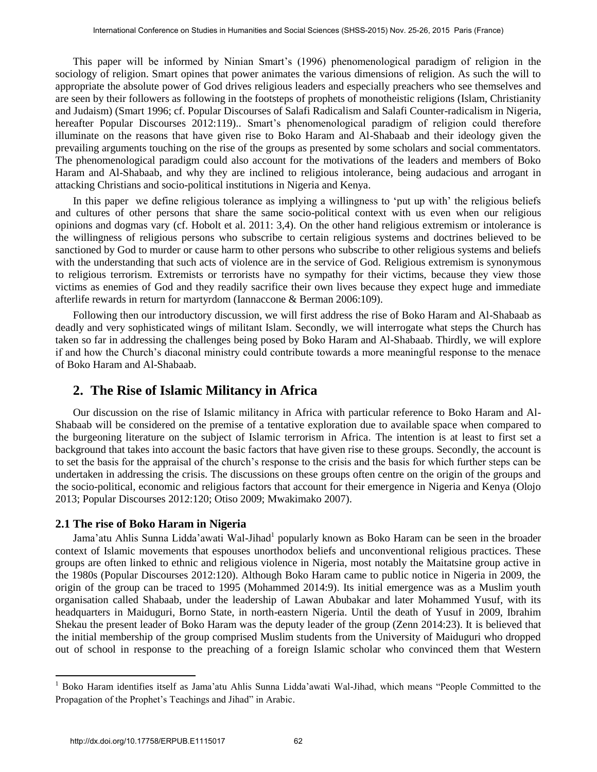This paper will be informed by Ninian Smart's (1996) phenomenological paradigm of religion in the sociology of religion. Smart opines that power animates the various dimensions of religion. As such the will to appropriate the absolute power of God drives religious leaders and especially preachers who see themselves and are seen by their followers as following in the footsteps of prophets of monotheistic religions (Islam, Christianity and Judaism) (Smart 1996; cf. Popular Discourses of Salafi Radicalism and Salafi Counter-radicalism in Nigeria, hereafter Popular Discourses 2012:119).. Smart's phenomenological paradigm of religion could therefore illuminate on the reasons that have given rise to Boko Haram and Al-Shabaab and their ideology given the prevailing arguments touching on the rise of the groups as presented by some scholars and social commentators. The phenomenological paradigm could also account for the motivations of the leaders and members of Boko Haram and Al-Shabaab, and why they are inclined to religious intolerance, being audacious and arrogant in attacking Christians and socio-political institutions in Nigeria and Kenya.

In this paper we define religious tolerance as implying a willingness to 'put up with' the religious beliefs and cultures of other persons that share the same socio-political context with us even when our religious opinions and dogmas vary (cf. Hobolt et al. 2011: 3,4). On the other hand religious extremism or intolerance is the willingness of religious persons who subscribe to certain religious systems and doctrines believed to be sanctioned by God to murder or cause harm to other persons who subscribe to other religious systems and beliefs with the understanding that such acts of violence are in the service of God. Religious extremism is synonymous to religious terrorism. Extremists or terrorists have no sympathy for their victims, because they view those victims as enemies of God and they readily sacrifice their own lives because they expect huge and immediate afterlife rewards in return for martyrdom (Iannaccone & Berman 2006:109).

Following then our introductory discussion, we will first address the rise of Boko Haram and Al-Shabaab as deadly and very sophisticated wings of militant Islam. Secondly, we will interrogate what steps the Church has taken so far in addressing the challenges being posed by Boko Haram and Al-Shabaab. Thirdly, we will explore if and how the Church's diaconal ministry could contribute towards a more meaningful response to the menace of Boko Haram and Al-Shabaab.

# **2. The Rise of Islamic Militancy in Africa**

Our discussion on the rise of Islamic militancy in Africa with particular reference to Boko Haram and Al-Shabaab will be considered on the premise of a tentative exploration due to available space when compared to the burgeoning literature on the subject of Islamic terrorism in Africa. The intention is at least to first set a background that takes into account the basic factors that have given rise to these groups. Secondly, the account is to set the basis for the appraisal of the church's response to the crisis and the basis for which further steps can be undertaken in addressing the crisis. The discussions on these groups often centre on the origin of the groups and the socio-political, economic and religious factors that account for their emergence in Nigeria and Kenya (Olojo 2013; Popular Discourses 2012:120; Otiso 2009; Mwakimako 2007).

#### **2.1 The rise of Boko Haram in Nigeria**

Jama'atu Ahlis Sunna Lidda'awati Wal-Jihad<sup>1</sup> popularly known as Boko Haram can be seen in the broader context of Islamic movements that espouses unorthodox beliefs and unconventional religious practices. These groups are often linked to ethnic and religious violence in Nigeria, most notably the Maitatsine group active in the 1980s (Popular Discourses 2012:120). Although Boko Haram came to public notice in Nigeria in 2009, the origin of the group can be traced to 1995 (Mohammed 2014:9). Its initial emergence was as a Muslim youth organisation called Shabaab, under the leadership of Lawan Abubakar and later Mohammed Yusuf, with its headquarters in Maiduguri, Borno State, in north-eastern Nigeria. Until the death of Yusuf in 2009, Ibrahim Shekau the present leader of Boko Haram was the deputy leader of the group (Zenn 2014:23). It is believed that the initial membership of the group comprised Muslim students from the University of Maiduguri who dropped out of school in response to the preaching of a foreign Islamic scholar who convinced them that Western

 $\overline{a}$ 

<sup>1</sup> Boko Haram identifies itself as Jama'atu Ahlis Sunna Lidda'awati Wal-Jihad, which means "People Committed to the Propagation of the Prophet's Teachings and Jihad" in Arabic.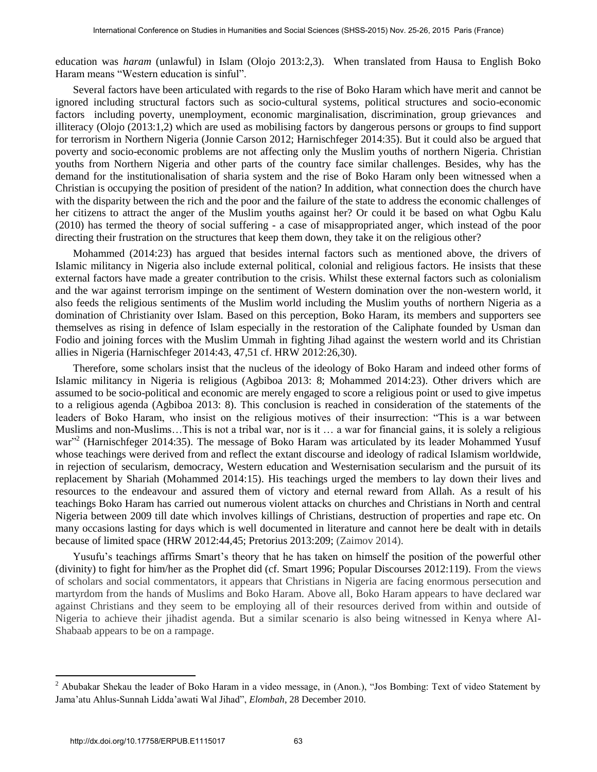education was *haram* (unlawful) in Islam (Olojo 2013:2,3). When translated from Hausa to English Boko Haram means "Western education is sinful".

Several factors have been articulated with regards to the rise of Boko Haram which have merit and cannot be ignored including structural factors such as socio-cultural systems, political structures and socio-economic factors including poverty, unemployment, economic marginalisation, discrimination, group grievances and illiteracy (Olojo (2013:1,2) which are used as mobilising factors by dangerous persons or groups to find support for terrorism in Northern Nigeria (Jonnie Carson 2012; Harnischfeger 2014:35). But it could also be argued that poverty and socio-economic problems are not affecting only the Muslim youths of northern Nigeria. Christian youths from Northern Nigeria and other parts of the country face similar challenges. Besides, why has the demand for the institutionalisation of sharia system and the rise of Boko Haram only been witnessed when a Christian is occupying the position of president of the nation? In addition, what connection does the church have with the disparity between the rich and the poor and the failure of the state to address the economic challenges of her citizens to attract the anger of the Muslim youths against her? Or could it be based on what Ogbu Kalu (2010) has termed the theory of social suffering - a case of misappropriated anger, which instead of the poor directing their frustration on the structures that keep them down, they take it on the religious other?

Mohammed (2014:23) has argued that besides internal factors such as mentioned above, the drivers of Islamic militancy in Nigeria also include external political, colonial and religious factors. He insists that these external factors have made a greater contribution to the crisis. Whilst these external factors such as colonialism and the war against terrorism impinge on the sentiment of Western domination over the non-western world, it also feeds the religious sentiments of the Muslim world including the Muslim youths of northern Nigeria as a domination of Christianity over Islam. Based on this perception, Boko Haram, its members and supporters see themselves as rising in defence of Islam especially in the restoration of the Caliphate founded by Usman dan Fodio and joining forces with the Muslim Ummah in fighting Jihad against the western world and its Christian allies in Nigeria (Harnischfeger 2014:43, 47,51 cf. HRW 2012:26,30).

Therefore, some scholars insist that the nucleus of the ideology of Boko Haram and indeed other forms of Islamic militancy in Nigeria is religious (Agbiboa 2013: 8; Mohammed 2014:23). Other drivers which are assumed to be socio-political and economic are merely engaged to score a religious point or used to give impetus to a religious agenda (Agbiboa 2013: 8). This conclusion is reached in consideration of the statements of the leaders of Boko Haram, who insist on the religious motives of their insurrection: "This is a war between Muslims and non-Muslims…This is not a tribal war, nor is it … a war for financial gains, it is solely a religious war"<sup>2</sup> (Harnischfeger 2014:35). The message of Boko Haram was articulated by its leader Mohammed Yusuf whose teachings were derived from and reflect the extant discourse and ideology of radical Islamism worldwide, in rejection of secularism, democracy, Western education and Westernisation secularism and the pursuit of its replacement by Shariah (Mohammed 2014:15). His teachings urged the members to lay down their lives and resources to the endeavour and assured them of victory and eternal reward from Allah. As a result of his teachings Boko Haram has carried out numerous violent attacks on churches and Christians in North and central Nigeria between 2009 till date which involves killings of Christians, destruction of properties and rape etc. On many occasions lasting for days which is well documented in literature and cannot here be dealt with in details because of limited space (HRW 2012:44,45; Pretorius 2013:209; (Zaimov 2014).

Yusufu's teachings affirms Smart's theory that he has taken on himself the position of the powerful other (divinity) to fight for him/her as the Prophet did (cf. Smart 1996; Popular Discourses 2012:119). From the views of scholars and social commentators, it appears that Christians in Nigeria are facing enormous persecution and martyrdom from the hands of Muslims and Boko Haram. Above all, Boko Haram appears to have declared war against Christians and they seem to be employing all of their resources derived from within and outside of Nigeria to achieve their jihadist agenda. But a similar scenario is also being witnessed in Kenya where Al-Shabaab appears to be on a rampage.

 $\overline{a}$ 

<sup>&</sup>lt;sup>2</sup> Abubakar Shekau the leader of Boko Haram in a video message, in (Anon.), "Jos Bombing: Text of video Statement by Jama'atu Ahlus-Sunnah Lidda'awati Wal Jihad", *Elombah*, 28 December 2010.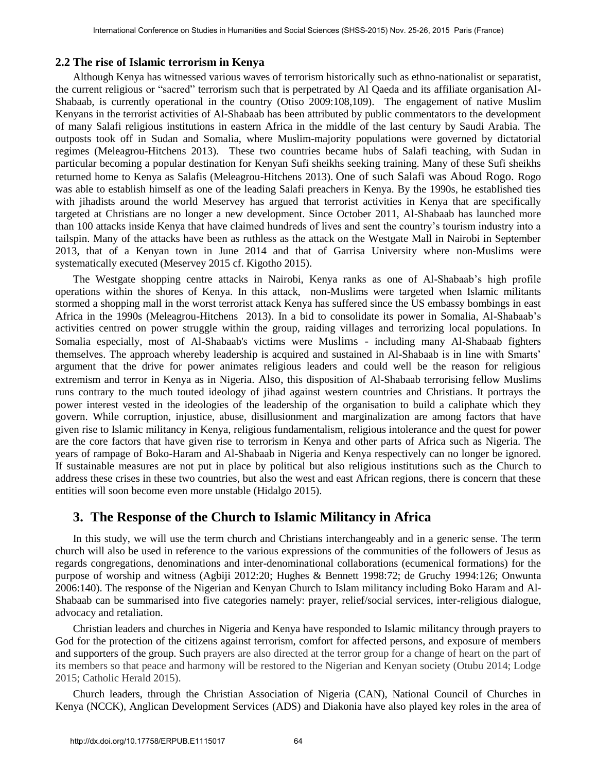#### **2.2 The rise of Islamic terrorism in Kenya**

Although Kenya has witnessed various waves of terrorism historically such as ethno-nationalist or separatist, the current religious or "sacred" terrorism such that is perpetrated by Al Qaeda and its affiliate organisation Al-Shabaab, is currently operational in the country (Otiso 2009:108,109). The engagement of native Muslim Kenyans in the terrorist activities of Al-Shabaab has been attributed by public commentators to the development of many Salafi religious institutions in eastern Africa in the middle of the last century by Saudi Arabia. The outposts took off in Sudan and Somalia, where Muslim-majority populations were governed by dictatorial regimes (Meleagrou-Hitchens 2013). These two countries became hubs of Salafi teaching, with Sudan in particular becoming a popular destination for Kenyan Sufi sheikhs seeking training. Many of these Sufi sheikhs returned home to Kenya as Salafis (Meleagrou-Hitchens 2013). One of such Salafi was Aboud Rogo. Rogo was able to establish himself as one of the leading Salafi preachers in Kenya. By the 1990s, he established ties with jihadists around the world Meservey has argued that terrorist activities in Kenya that are specifically targeted at Christians are no longer a new development. Since October 2011, Al-Shabaab has launched more than 100 attacks inside Kenya that have claimed hundreds of lives and sent the country's tourism industry into a tailspin. Many of the attacks have been as ruthless as the attack on the Westgate Mall in Nairobi in September 2013, that of a Kenyan town in June 2014 and that of Garrisa University where non-Muslims were systematically executed (Meservey 2015 cf. Kigotho 2015).

The Westgate shopping centre attacks in Nairobi, Kenya ranks as one of Al-Shabaab's high profile operations within the shores of Kenya. In this attack, non-Muslims were targeted when Islamic militants stormed a shopping mall in the worst terrorist attack Kenya has suffered since the US embassy bombings in east Africa in the 1990s (Meleagrou-Hitchens 2013). In a bid to consolidate its power in Somalia, Al-Shabaab's activities centred on power struggle within the group, raiding villages and terrorizing local populations. In Somalia especially, most of Al-Shabaab's victims were Muslims - including many Al-Shabaab fighters themselves. The approach whereby leadership is acquired and sustained in Al-Shabaab is in line with Smarts' argument that the drive for power animates religious leaders and could well be the reason for religious extremism and terror in Kenya as in Nigeria. Also, this disposition of Al-Shabaab terrorising fellow Muslims runs contrary to the much touted ideology of jihad against western countries and Christians. It portrays the power interest vested in the ideologies of the leadership of the organisation to build a caliphate which they govern. While corruption, injustice, abuse, disillusionment and marginalization are among factors that have given rise to Islamic militancy in Kenya, religious fundamentalism, religious intolerance and the quest for power are the core factors that have given rise to terrorism in Kenya and other parts of Africa such as Nigeria. The years of rampage of Boko-Haram and Al-Shabaab in Nigeria and Kenya respectively can no longer be ignored. If sustainable measures are not put in place by political but also religious institutions such as the Church to address these crises in these two countries, but also the west and east African regions, there is concern that these entities will soon become even more unstable (Hidalgo 2015).

### **3. The Response of the Church to Islamic Militancy in Africa**

In this study, we will use the term church and Christians interchangeably and in a generic sense. The term church will also be used in reference to the various expressions of the communities of the followers of Jesus as regards congregations, denominations and inter-denominational collaborations (ecumenical formations) for the purpose of worship and witness (Agbiji 2012:20; Hughes & Bennett 1998:72; de Gruchy 1994:126; Onwunta 2006:140). The response of the Nigerian and Kenyan Church to Islam militancy including Boko Haram and Al-Shabaab can be summarised into five categories namely: prayer, relief/social services, inter-religious dialogue, advocacy and retaliation.

Christian leaders and churches in Nigeria and Kenya have responded to Islamic militancy through prayers to God for the protection of the citizens against terrorism, comfort for affected persons, and exposure of members and supporters of the group. Such prayers are also directed at the terror group for a change of heart on the part of its members so that peace and harmony will be restored to the Nigerian and Kenyan society (Otubu 2014; Lodge 2015; Catholic Herald 2015).

Church leaders, through the Christian Association of Nigeria (CAN), National Council of Churches in Kenya (NCCK), Anglican Development Services (ADS) and Diakonia have also played key roles in the area of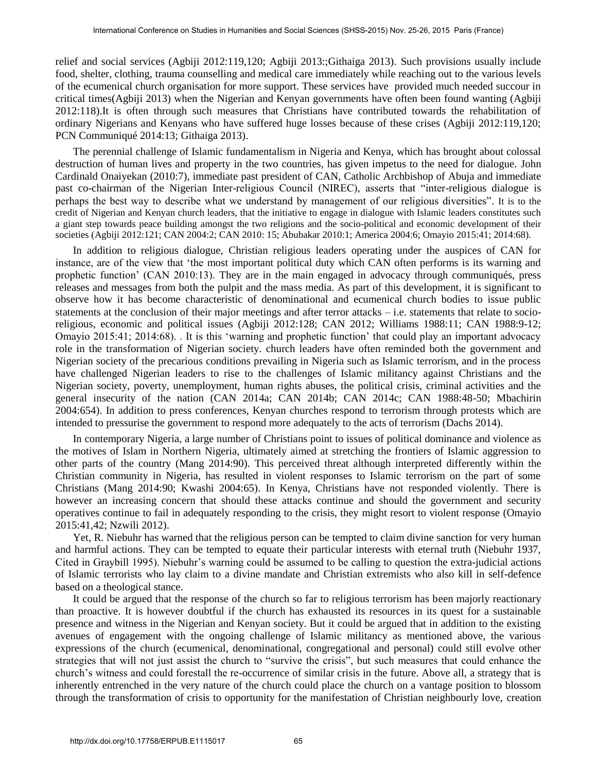relief and social services (Agbiji 2012:119,120; Agbiji 2013:;Githaiga 2013). Such provisions usually include food, shelter, clothing, trauma counselling and medical care immediately while reaching out to the various levels of the ecumenical church organisation for more support. These services have provided much needed succour in critical times(Agbiji 2013) when the Nigerian and Kenyan governments have often been found wanting (Agbiji 2012:118).It is often through such measures that Christians have contributed towards the rehabilitation of ordinary Nigerians and Kenyans who have suffered huge losses because of these crises (Agbiji 2012:119,120; PCN Communiqué 2014:13; Githaiga 2013).

The perennial challenge of Islamic fundamentalism in Nigeria and Kenya, which has brought about colossal destruction of human lives and property in the two countries, has given impetus to the need for dialogue. John Cardinald Onaiyekan (2010:7), immediate past president of CAN, Catholic Archbishop of Abuja and immediate past co-chairman of the Nigerian Inter-religious Council (NIREC), asserts that "inter-religious dialogue is perhaps the best way to describe what we understand by management of our religious diversities". It is to the credit of Nigerian and Kenyan church leaders, that the initiative to engage in dialogue with Islamic leaders constitutes such a giant step towards peace building amongst the two religions and the socio-political and economic development of their societies (Agbiji 2012:121; CAN 2004:2; CAN 2010: 15; Abubakar 2010:1; America 2004:6; Omayio 2015:41; 2014:68).

In addition to religious dialogue, Christian religious leaders operating under the auspices of CAN for instance, are of the view that 'the most important political duty which CAN often performs is its warning and prophetic function' (CAN 2010:13). They are in the main engaged in advocacy through communiqués, press releases and messages from both the pulpit and the mass media. As part of this development, it is significant to observe how it has become characteristic of denominational and ecumenical church bodies to issue public statements at the conclusion of their major meetings and after terror attacks – i.e. statements that relate to socioreligious, economic and political issues (Agbiji 2012:128; CAN 2012; Williams 1988:11; CAN 1988:9-12; Omayio 2015:41; 2014:68). . It is this 'warning and prophetic function' that could play an important advocacy role in the transformation of Nigerian society. church leaders have often reminded both the government and Nigerian society of the precarious conditions prevailing in Nigeria such as Islamic terrorism, and in the process have challenged Nigerian leaders to rise to the challenges of Islamic militancy against Christians and the Nigerian society, poverty, unemployment, human rights abuses, the political crisis, criminal activities and the general insecurity of the nation (CAN 2014a; CAN 2014b; CAN 2014c; CAN 1988:48-50; Mbachirin 2004:654). In addition to press conferences, Kenyan churches respond to terrorism through protests which are intended to pressurise the government to respond more adequately to the acts of terrorism (Dachs 2014).

In contemporary Nigeria, a large number of Christians point to issues of political dominance and violence as the motives of Islam in Northern Nigeria, ultimately aimed at stretching the frontiers of Islamic aggression to other parts of the country (Mang 2014:90). This perceived threat although interpreted differently within the Christian community in Nigeria, has resulted in violent responses to Islamic terrorism on the part of some Christians (Mang 2014:90; Kwashi 2004:65). In Kenya, Christians have not responded violently. There is however an increasing concern that should these attacks continue and should the government and security operatives continue to fail in adequately responding to the crisis, they might resort to violent response (Omayio 2015:41,42; Nzwili 2012).

Yet, R. Niebuhr has warned that the religious person can be tempted to claim divine sanction for very human and harmful actions. They can be tempted to equate their particular interests with eternal truth (Niebuhr 1937, Cited in Graybill 1995). Niebuhr's warning could be assumed to be calling to question the extra-judicial actions of Islamic terrorists who lay claim to a divine mandate and Christian extremists who also kill in self-defence based on a theological stance.

It could be argued that the response of the church so far to religious terrorism has been majorly reactionary than proactive. It is however doubtful if the church has exhausted its resources in its quest for a sustainable presence and witness in the Nigerian and Kenyan society. But it could be argued that in addition to the existing avenues of engagement with the ongoing challenge of Islamic militancy as mentioned above, the various expressions of the church (ecumenical, denominational, congregational and personal) could still evolve other strategies that will not just assist the church to "survive the crisis", but such measures that could enhance the church's witness and could forestall the re-occurrence of similar crisis in the future. Above all, a strategy that is inherently entrenched in the very nature of the church could place the church on a vantage position to blossom through the transformation of crisis to opportunity for the manifestation of Christian neighbourly love, creation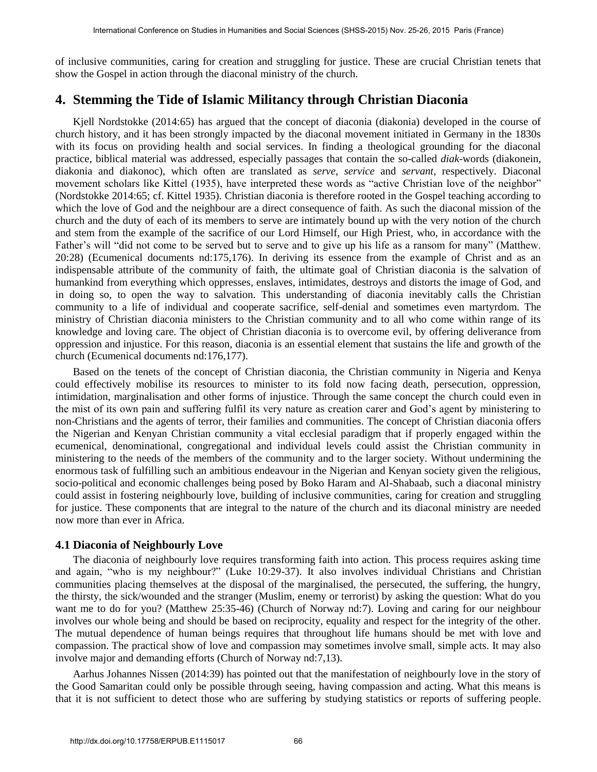of inclusive communities, caring for creation and struggling for justice. These are crucial Christian tenets that show the Gospel in action through the diaconal ministry of the church.

# **4. Stemming the Tide of Islamic Militancy through Christian Diaconia**

Kjell Nordstokke (2014:65) has argued that the concept of diaconia (diakonia) developed in the course of church history, and it has been strongly impacted by the diaconal movement initiated in Germany in the 1830s with its focus on providing health and social services. In finding a theological grounding for the diaconal practice, biblical material was addressed, especially passages that contain the so-called *diak*-words (diakonein, diakonia and diakonoc), which often are translated as *serve*, *service* and *servant*, respectively. Diaconal movement scholars like Kittel (1935), have interpreted these words as "active Christian love of the neighbor" (Nordstokke 2014:65; cf. Kittel 1935). Christian diaconia is therefore rooted in the Gospel teaching according to which the love of God and the neighbour are a direct consequence of faith. As such the diaconal mission of the church and the duty of each of its members to serve are intimately bound up with the very notion of the church and stem from the example of the sacrifice of our Lord Himself, our High Priest, who, in accordance with the Father's will "did not come to be served but to serve and to give up his life as a ransom for many" (Matthew. 20:28) (Ecumenical documents nd:175,176). In deriving its essence from the example of Christ and as an indispensable attribute of the community of faith, the ultimate goal of Christian diaconia is the salvation of humankind from everything which oppresses, enslaves, intimidates, destroys and distorts the image of God, and in doing so, to open the way to salvation. This understanding of diaconia inevitably calls the Christian community to a life of individual and cooperate sacrifice, self-denial and sometimes even martyrdom. The ministry of Christian diaconia ministers to the Christian community and to all who come within range of its knowledge and loving care. The object of Christian diaconia is to overcome evil, by offering deliverance from oppression and injustice. For this reason, diaconia is an essential element that sustains the life and growth of the church (Ecumenical documents nd:176,177).

Based on the tenets of the concept of Christian diaconia, the Christian community in Nigeria and Kenya could effectively mobilise its resources to minister to its fold now facing death, persecution, oppression, intimidation, marginalisation and other forms of injustice. Through the same concept the church could even in the mist of its own pain and suffering fulfil its very nature as creation carer and God's agent by ministering to non-Christians and the agents of terror, their families and communities. The concept of Christian diaconia offers the Nigerian and Kenyan Christian community a vital ecclesial paradigm that if properly engaged within the ecumenical, denominational, congregational and individual levels could assist the Christian community in ministering to the needs of the members of the community and to the larger society. Without undermining the enormous task of fulfilling such an ambitious endeavour in the Nigerian and Kenyan society given the religious, socio-political and economic challenges being posed by Boko Haram and Al-Shabaab, such a diaconal ministry could assist in fostering neighbourly love, building of inclusive communities, caring for creation and struggling for justice. These components that are integral to the nature of the church and its diaconal ministry are needed now more than ever in Africa.

#### **4.1 Diaconia of Neighbourly Love**

The diaconia of neighbourly love requires transforming faith into action. This process requires asking time and again, "who is my neighbour?" (Luke 10:29-37). It also involves individual Christians and Christian communities placing themselves at the disposal of the marginalised, the persecuted, the suffering, the hungry, the thirsty, the sick/wounded and the stranger (Muslim, enemy or terrorist) by asking the question: What do you want me to do for you? (Matthew 25:35-46) (Church of Norway nd:7). Loving and caring for our neighbour involves our whole being and should be based on reciprocity, equality and respect for the integrity of the other. The mutual dependence of human beings requires that throughout life humans should be met with love and compassion. The practical show of love and compassion may sometimes involve small, simple acts. It may also involve major and demanding efforts (Church of Norway nd:7,13).

Aarhus Johannes Nissen (2014:39) has pointed out that the manifestation of neighbourly love in the story of the Good Samaritan could only be possible through seeing, having compassion and acting. What this means is that it is not sufficient to detect those who are suffering by studying statistics or reports of suffering people.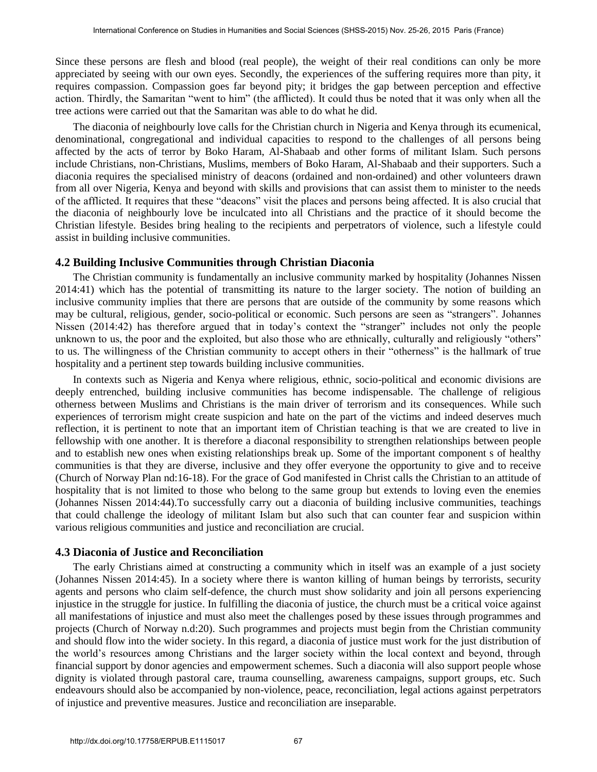Since these persons are flesh and blood (real people), the weight of their real conditions can only be more appreciated by seeing with our own eyes. Secondly, the experiences of the suffering requires more than pity, it requires compassion. Compassion goes far beyond pity; it bridges the gap between perception and effective action. Thirdly, the Samaritan "went to him" (the afflicted). It could thus be noted that it was only when all the tree actions were carried out that the Samaritan was able to do what he did.

The diaconia of neighbourly love calls for the Christian church in Nigeria and Kenya through its ecumenical, denominational, congregational and individual capacities to respond to the challenges of all persons being affected by the acts of terror by Boko Haram, Al-Shabaab and other forms of militant Islam. Such persons include Christians, non-Christians, Muslims, members of Boko Haram, Al-Shabaab and their supporters. Such a diaconia requires the specialised ministry of deacons (ordained and non-ordained) and other volunteers drawn from all over Nigeria, Kenya and beyond with skills and provisions that can assist them to minister to the needs of the afflicted. It requires that these "deacons" visit the places and persons being affected. It is also crucial that the diaconia of neighbourly love be inculcated into all Christians and the practice of it should become the Christian lifestyle. Besides bring healing to the recipients and perpetrators of violence, such a lifestyle could assist in building inclusive communities.

#### **4.2 Building Inclusive Communities through Christian Diaconia**

The Christian community is fundamentally an inclusive community marked by hospitality (Johannes Nissen 2014:41) which has the potential of transmitting its nature to the larger society. The notion of building an inclusive community implies that there are persons that are outside of the community by some reasons which may be cultural, religious, gender, socio-political or economic. Such persons are seen as "strangers". Johannes Nissen (2014:42) has therefore argued that in today's context the "stranger" includes not only the people unknown to us, the poor and the exploited, but also those who are ethnically, culturally and religiously "others" to us. The willingness of the Christian community to accept others in their "otherness" is the hallmark of true hospitality and a pertinent step towards building inclusive communities.

In contexts such as Nigeria and Kenya where religious, ethnic, socio-political and economic divisions are deeply entrenched, building inclusive communities has become indispensable. The challenge of religious otherness between Muslims and Christians is the main driver of terrorism and its consequences. While such experiences of terrorism might create suspicion and hate on the part of the victims and indeed deserves much reflection, it is pertinent to note that an important item of Christian teaching is that we are created to live in fellowship with one another. It is therefore a diaconal responsibility to strengthen relationships between people and to establish new ones when existing relationships break up. Some of the important component s of healthy communities is that they are diverse, inclusive and they offer everyone the opportunity to give and to receive (Church of Norway Plan nd:16-18). For the grace of God manifested in Christ calls the Christian to an attitude of hospitality that is not limited to those who belong to the same group but extends to loving even the enemies (Johannes Nissen 2014:44).To successfully carry out a diaconia of building inclusive communities, teachings that could challenge the ideology of militant Islam but also such that can counter fear and suspicion within various religious communities and justice and reconciliation are crucial.

#### **4.3 Diaconia of Justice and Reconciliation**

The early Christians aimed at constructing a community which in itself was an example of a just society (Johannes Nissen 2014:45). In a society where there is wanton killing of human beings by terrorists, security agents and persons who claim self-defence, the church must show solidarity and join all persons experiencing injustice in the struggle for justice. In fulfilling the diaconia of justice, the church must be a critical voice against all manifestations of injustice and must also meet the challenges posed by these issues through programmes and projects (Church of Norway n.d:20). Such programmes and projects must begin from the Christian community and should flow into the wider society. In this regard, a diaconia of justice must work for the just distribution of the world's resources among Christians and the larger society within the local context and beyond, through financial support by donor agencies and empowerment schemes. Such a diaconia will also support people whose dignity is violated through pastoral care, trauma counselling, awareness campaigns, support groups, etc. Such endeavours should also be accompanied by non-violence, peace, reconciliation, legal actions against perpetrators of injustice and preventive measures. Justice and reconciliation are inseparable.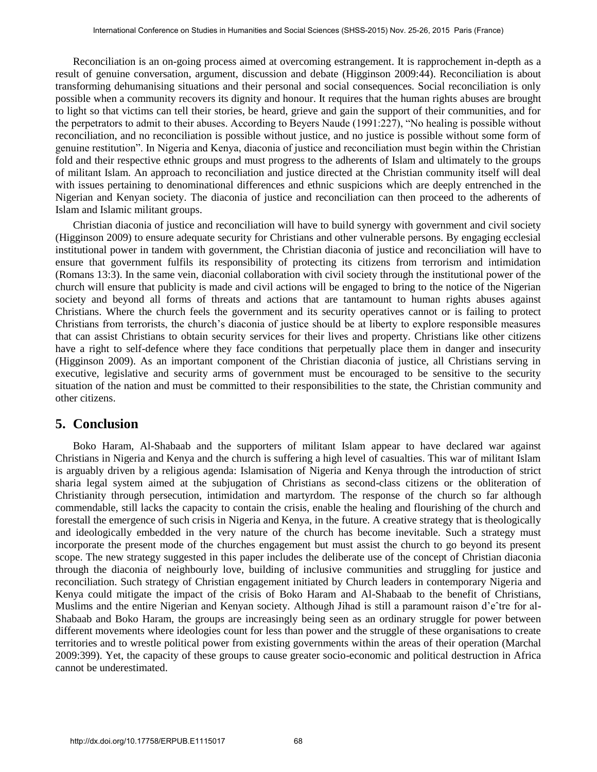Reconciliation is an on-going process aimed at overcoming estrangement. It is rapprochement in-depth as a result of genuine conversation, argument, discussion and debate (Higginson 2009:44). Reconciliation is about transforming dehumanising situations and their personal and social consequences. Social reconciliation is only possible when a community recovers its dignity and honour. It requires that the human rights abuses are brought to light so that victims can tell their stories, be heard, grieve and gain the support of their communities, and for the perpetrators to admit to their abuses. According to Beyers Naude (1991:227), "No healing is possible without reconciliation, and no reconciliation is possible without justice, and no justice is possible without some form of genuine restitution". In Nigeria and Kenya, diaconia of justice and reconciliation must begin within the Christian fold and their respective ethnic groups and must progress to the adherents of Islam and ultimately to the groups of militant Islam. An approach to reconciliation and justice directed at the Christian community itself will deal with issues pertaining to denominational differences and ethnic suspicions which are deeply entrenched in the Nigerian and Kenyan society. The diaconia of justice and reconciliation can then proceed to the adherents of Islam and Islamic militant groups.

Christian diaconia of justice and reconciliation will have to build synergy with government and civil society (Higginson 2009) to ensure adequate security for Christians and other vulnerable persons. By engaging ecclesial institutional power in tandem with government, the Christian diaconia of justice and reconciliation will have to ensure that government fulfils its responsibility of protecting its citizens from terrorism and intimidation (Romans 13:3). In the same vein, diaconial collaboration with civil society through the institutional power of the church will ensure that publicity is made and civil actions will be engaged to bring to the notice of the Nigerian society and beyond all forms of threats and actions that are tantamount to human rights abuses against Christians. Where the church feels the government and its security operatives cannot or is failing to protect Christians from terrorists, the church's diaconia of justice should be at liberty to explore responsible measures that can assist Christians to obtain security services for their lives and property. Christians like other citizens have a right to self-defence where they face conditions that perpetually place them in danger and insecurity (Higginson 2009). As an important component of the Christian diaconia of justice, all Christians serving in executive, legislative and security arms of government must be encouraged to be sensitive to the security situation of the nation and must be committed to their responsibilities to the state, the Christian community and other citizens.

### **5. Conclusion**

Boko Haram, Al-Shabaab and the supporters of militant Islam appear to have declared war against Christians in Nigeria and Kenya and the church is suffering a high level of casualties. This war of militant Islam is arguably driven by a religious agenda: Islamisation of Nigeria and Kenya through the introduction of strict sharia legal system aimed at the subjugation of Christians as second-class citizens or the obliteration of Christianity through persecution, intimidation and martyrdom. The response of the church so far although commendable, still lacks the capacity to contain the crisis, enable the healing and flourishing of the church and forestall the emergence of such crisis in Nigeria and Kenya, in the future. A creative strategy that is theologically and ideologically embedded in the very nature of the church has become inevitable. Such a strategy must incorporate the present mode of the churches engagement but must assist the church to go beyond its present scope. The new strategy suggested in this paper includes the deliberate use of the concept of Christian diaconia through the diaconia of neighbourly love, building of inclusive communities and struggling for justice and reconciliation. Such strategy of Christian engagement initiated by Church leaders in contemporary Nigeria and Kenya could mitigate the impact of the crisis of Boko Haram and Al-Shabaab to the benefit of Christians, Muslims and the entire Nigerian and Kenyan society. Although Jihad is still a paramount raison d'eˆtre for al-Shabaab and Boko Haram, the groups are increasingly being seen as an ordinary struggle for power between different movements where ideologies count for less than power and the struggle of these organisations to create territories and to wrestle political power from existing governments within the areas of their operation (Marchal 2009:399). Yet, the capacity of these groups to cause greater socio-economic and political destruction in Africa cannot be underestimated.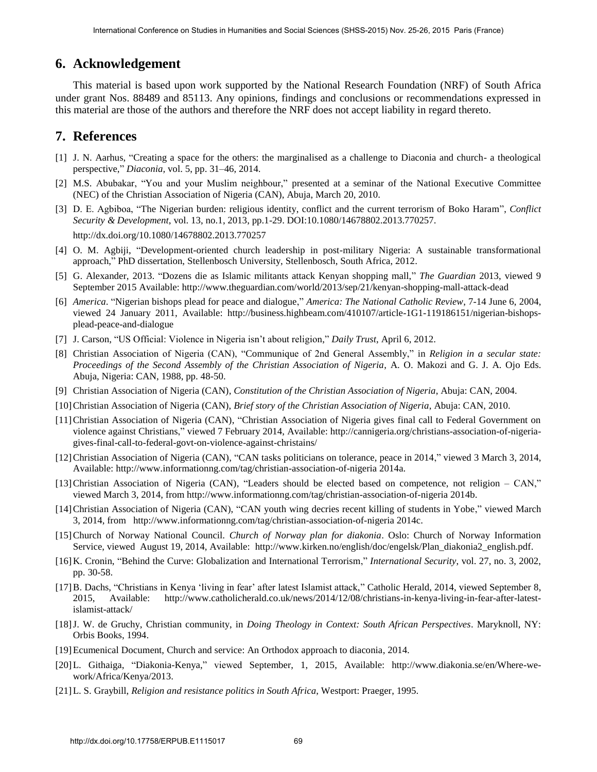# **6. Acknowledgement**

This material is based upon work supported by the National Research Foundation (NRF) of South Africa under grant Nos. 88489 and 85113. Any opinions, findings and conclusions or recommendations expressed in this material are those of the authors and therefore the NRF does not accept liability in regard thereto.

# **7. References**

- [1] J. N. Aarhus, "Creating a space for the others: the marginalised as a challenge to Diaconia and church- a theological perspective," *Diaconia,* vol. 5, pp. 31–46, 2014.
- [2] M.S. Abubakar, "You and your Muslim neighbour," presented at a seminar of the National Executive Committee (NEC) of the Christian Association of Nigeria (CAN), Abuja, March 20, 2010.
- [3] [D. E. Agbiboa, "The Nigerian burden: religious identity, conflict and the current terrorism of Boko Haram",](http://dx.doi.org/10.1080/14678802.2013.770257) *Conflict Security & Development*[, vol. 13, no.1, 2013, pp.1-29. DOI:10.1080/14678802.2013.770257.](http://dx.doi.org/10.1080/14678802.2013.770257)  <http://dx.doi.org/10.1080/14678802.2013.770257>
- [4] O. M. Agbiji, "Development-oriented church leadership in post-military Nigeria: A sustainable transformational approach," PhD dissertation, Stellenbosch University, Stellenbosch, South Africa, 2012.
- [5] G. Alexander, 2013. "Dozens die as Islamic militants attack Kenyan shopping mall," *The Guardian* 2013, viewed 9 September 2015 Available:<http://www.theguardian.com/world/2013/sep/21/kenyan-shopping-mall-attack-dead>
- [6] *America*. "Nigerian bishops plead for peace and dialogue," *America: The National Catholic Review*, 7-14 June 6, 2004, viewed 24 January 2011, Available: [http://business.highbeam.com/410107/article-1G1-119186151/nigerian-bishops](http://business.highbeam.com/410107/article-1G1-119186151/nigerian-bishops-plead-peace-and-dialogue)[plead-peace-and-dialogue](http://business.highbeam.com/410107/article-1G1-119186151/nigerian-bishops-plead-peace-and-dialogue)
- [7] J. Carson, "US Official: Violence in Nigeria isn't about religion," *Daily Trust*, April 6, 2012.
- [8] Christian Association of Nigeria (CAN), "Communique of 2nd General Assembly," in *Religion in a secular state: Proceedings of the Second Assembly of the Christian Association of Nigeria*, A. O. Makozi and G. J. A. Ojo Eds. Abuja, Nigeria: CAN, 1988, pp. 48-50.
- [9] Christian Association of Nigeria (CAN), *Constitution of the Christian Association of Nigeria*, Abuja: CAN, 2004.
- [10]Christian Association of Nigeria (CAN), *Brief story of the Christian Association of Nigeria*, Abuja: CAN, 2010.
- [11]Christian Association of Nigeria (CAN), "Christian Association of Nigeria gives final call to Federal Government on violence against Christians," viewed 7 February 2014, Available: [http://cannigeria.org/christians-association-of-nigeria](http://cannigeria.org/christians-association-of-nigeria-gives-final-call-to-federal-govt-on-violence-against-christains/)[gives-final-call-to-federal-govt-on-violence-against-christains/](http://cannigeria.org/christians-association-of-nigeria-gives-final-call-to-federal-govt-on-violence-against-christains/)
- [12]Christian Association of Nigeria (CAN), "CAN tasks politicians on tolerance, peace in 2014," viewed 3 March 3, 2014, Available:<http://www.informationng.com/tag/christian-association-of-nigeria>2014a.
- [13]Christian Association of Nigeria (CAN), "Leaders should be elected based on competence, not religion CAN," viewed March 3, 2014, from<http://www.informationng.com/tag/christian-association-of-nigeria>2014b.
- [14]Christian Association of Nigeria (CAN), "CAN youth wing decries recent killing of students in Yobe," viewed March 3, 2014, from [http://www.informationng.com/tag/christian-association-of-nigeria 2](http://www.informationng.com/tag/christian-association-of-nigeria)014c.
- [15]Church of Norway National Council. *Church of Norway plan for diakonia*. Oslo: Church of Norway Information Service, viewed August 19, 2014, Available: [http://www.kirken.no/english/doc/engelsk/Plan\\_diakonia2\\_english.pdf.](http://www.kirken.no/english/doc/engelsk/Plan_diakonia2_english.pdf)
- [16]K. Cronin, "Behind the Curve: Globalization and International Terrorism," *International Security*, vol. 27, no. 3, 2002, pp. 30-58.
- [17]B. Dachs, "Christians in Kenya 'living in fear' after latest Islamist attack," Catholic Herald, 2014, viewed September 8, 2015, Available: [http://www.catholicherald.co.uk/news/2014/12/08/christians-in-kenya-living-in-fear-after-latest](http://www.catholicherald.co.uk/news/2014/12/08/christians-in-kenya-living-in-fear-after-latest-islamist-attack/)[islamist-attack/](http://www.catholicherald.co.uk/news/2014/12/08/christians-in-kenya-living-in-fear-after-latest-islamist-attack/)
- [18]J. W. de Gruchy, Christian community, in *Doing Theology in Context: South African Perspectives*. Maryknoll, NY: Orbis Books, 1994.
- [19]Ecumenical Document, Church and service: An Orthodox approach to diaconia, 2014.
- [20]L. Githaiga, "Diakonia-Kenya," viewed September, 1, 2015, Available: [http://www.diakonia.se/en/Where-we](http://www.diakonia.se/en/Where-we-work/Africa/Kenya/)[work/Africa/Kenya/2](http://www.diakonia.se/en/Where-we-work/Africa/Kenya/)013.
- [21]L. S. Graybill, *Religion and resistance politics in South Africa*, Westport: Praeger, 1995.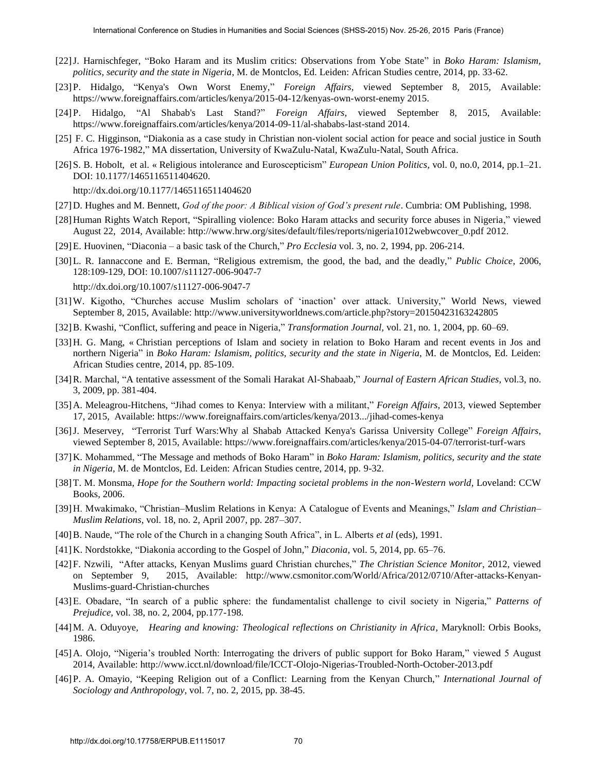- [22]J. Harnischfeger, "Boko Haram and its Muslim critics: Observations from Yobe State" in *Boko Haram: Islamism, politics, security and the state in Nigeria*, M. de Montclos, Ed. Leiden: African Studies centre, 2014, pp. 33-62.
- [23]P. Hidalgo, "Kenya's Own Worst Enemy," *Foreign Affairs*, viewed September 8, 2015, Available: [https://www.foreignaffairs.com/articles/kenya/2015-04-12/kenyas-own-worst-enemy 2](https://www.foreignaffairs.com/articles/kenya/2015-04-12/kenyas-own-worst-enemy)015.
- [24]P. Hidalgo, "Al Shabab's Last Stand?" *Foreign Affairs*, viewed September 8, 2015, Available: https://www.foreignaffairs.com/articles/kenya/2014-09-11/al-shababs-last-stan[d 2014.](https://www.twitter.com/share?text=Al%20Shabab%27s%20Last%20Stand%3F&url=https%3A//www.foreignaffairs.com/articles/kenya/2014-09-11/al-shababs-last-stand%3Fcid%3Dsoc-tw-rdr&via=ForeignAffairs)
- [25] F. C. Higginson, "Diakonia as a case study in Christian non-violent social action for peace and social justice in South Africa 1976-1982," MA dissertation, University of KwaZulu-Natal, KwaZulu-Natal, South Africa.
- [\[26\]S. B. Hobolt, et al. « Religious intolerance and Euroscepticism"](http://dx.doi.org/10.1177/1465116511404620) *European Union Politics,* vol. 0, no.0, 2014, pp.1–21. [DOI: 10.1177/1465116511404620.](http://dx.doi.org/10.1177/1465116511404620)

<http://dx.doi.org/10.1177/1465116511404620>

- [27]D. Hughes and M. Bennett, *God of the poor: A Biblical vision of God's present rule*. Cumbria: OM Publishing, 1998.
- [28]Human Rights Watch Report, "Spiralling violence: Boko Haram attacks and security force abuses in Nigeria," viewed August 22, 2014, Available: [http://www.hrw.org/sites/default/files/reports/nigeria1012webwcover\\_0.pdf](http://www.hrw.org/sites/default/files/reports/nigeria1012webwcover_0.pdf) 2012.
- [29]E. Huovinen, "Diaconia a basic task of the Church," *Pro Ecclesia* vol. 3, no. 2, 1994, pp. 206-214.
- [30]L. R. Iannaccone and E. [Berman, "Religious extremism, the good, the bad, and the deadly,"](http://dx.doi.org/10.1007/s11127-006-9047-7) *Public Choice*, 2006, [128:109-129, DOI: 10.1007/s11127-006-9047-7](http://dx.doi.org/10.1007/s11127-006-9047-7)

<http://dx.doi.org/10.1007/s11127-006-9047-7>

- [31]W. Kigotho, "Churches accuse Muslim scholars of 'inaction' over attack. University," World News, viewed September 8, 2015, Available:<http://www.universityworldnews.com/article.php?story=20150423163242805>
- [32]B. Kwashi, "Conflict, suffering and peace in Nigeria," *Transformation Journal,* vol. 21, no. 1, 2004, pp. 60–69.
- [33]H. G. Mang, « Christian perceptions of Islam and society in relation to Boko Haram and recent events in Jos and northern Nigeria" in *Boko Haram: Islamism, politics, security and the state in Nigeria*, M. de Montclos, Ed. Leiden: African Studies centre, 2014, pp. 85-109.
- [34]R. Marchal, "A tentative assessment of the Somali Harakat Al-Shabaab," *Journal of Eastern African Studies*, vol.3, no. 3, 2009, pp. 381-404.
- [35]A. Meleagrou-Hitchens, "Jihad comes to Kenya: Interview with a militant," *Foreign Affairs*, 2013, viewed September 17, 2015, Available: https://www.foreignaffairs.com/articles/kenya/2013.../jihad-comes-kenya
- [36]J. Meservey, "Terrorist Turf Wars:Why al Shabab Attacked Kenya's Garissa University College" *Foreign Affairs*, viewed September 8, 2015, Available: https://www.foreignaffairs.com/articles/kenya/2015-04-07/terrorist-turf-wars
- [37]K. Mohammed, "The Message and methods of Boko Haram" in *Boko Haram: Islamism, politics, security and the state in Nigeria*, M. de Montclos, Ed. Leiden: African Studies centre, 2014, pp. 9-32.
- [38]T. M. Monsma, *Hope for the Southern world: Impacting societal problems in the non-Western world,* Loveland: CCW Books, 2006.
- [39]H. Mwakimako, "Christian–Muslim Relations in Kenya: A Catalogue of Events and Meanings," *Islam and Christian– Muslim Relations*, vol. 18, no. 2, April 2007, pp. 287–307.
- [40]B. Naude, "The role of the Church in a changing South Africa", in L. Alberts *et al* (eds), 1991.
- [41]K. Nordstokke, "Diakonia according to the Gospel of John," *Diaconia*, vol. 5, 2014, pp. 65–76.
- [42]F. Nzwili, "After attacks, Kenyan Muslims guard Christian churches," *The Christian Science Monitor*, 2012, viewed on September 9, 2015, Available: [http://www.csmonitor.com/World/Africa/2012/0710/After-attacks-Kenyan-](http://www.csmonitor.com/World/Africa/2012/0710/After-attacks-Kenyan-Muslims-guard-Christian-churches)[Muslims-guard-Christian-churches](http://www.csmonitor.com/World/Africa/2012/0710/After-attacks-Kenyan-Muslims-guard-Christian-churches)
- [43]E. Obadare, "In search of a public sphere: the fundamentalist challenge to civil society in Nigeria," *Patterns of Prejudice,* vol. 38, no. 2, 2004, pp.177-198.
- [44]M. A. Oduyoye, *Hearing and knowing: Theological reflections on Christianity in Africa,* Maryknoll: Orbis Books, 1986.
- [45]A. Olojo, "Nigeria's troubled North: Interrogating the drivers of public support for Boko Haram," viewed 5 August 2014, Available:<http://www.icct.nl/download/file/ICCT-Olojo-Nigerias-Troubled-North-October-2013.pdf>
- [46]P. A. Omayio, "Keeping Religion out of a Conflict: Learning from the Kenyan Church," *International Journal of Sociology and Anthropology*, vol. 7, no. 2, 2015, pp. 38-45.